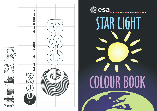

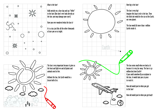

What is the Sun?

Walk outside on a clear day and say "Hello!" to the Sun! (But don't ever look directly at the Sun: you may damage your eyes!)

Have you ever wondered what the Sun is?

It is a star, just like all the other thousands of stars you see at night.

The Sun is very important because it gives us the heat and light we and all plants and animals need to live.

Without the Sun, the Earth would be a frozen ball of ice.

How big is the Sun?

The Sun is very big! Imagine this large circle is the Sun. Then the little dot would be the size of the Earth, our own planet.

The Sun would fit more than 1 million Earths inside it.

The Sun seems small when we look at it because it is very far away. The Sun is 150 million km from Earth!! If you could somehow fly an airplane to the Sun, it would take you 26 years to reach it.

How old would you be when you got to the Sun?

How old would you be when you got back?





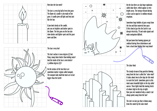

## How does the Sun work?

The Sun is a very big ball of very hot gases. The flame of a candle is also made of hot gases. A candle gives off light and heat just like the Sun.

The Sun's surface is 6000 degrees (C) hot. Many, many times hotter than boiling water! And the inside of the Sun is even hotter! 15 million degrees (C)!!

If you look closely at the candle, you can see brighter and darker spots in the flame. The hot gases on the Sun also show darker and lighter spots and the gases move and flow.

## The Sun is very hot!

The steady stream of tiny particles blowing away from the Sun is called the "solar wind". It takes about two to five days for this wind to reach the Earth. Sometimes gusts in this wind causes beautiful lights in the sky called aurora. These lights look like moving sheets of colours high in the sky at night. Have you ever wondered why a comet's tail always points away from the Sun?

On the surface of the Sun there are sometimes darker regions called sunspots. The sunspots look small but most are in fact bigger than the Earth!









楽  $\bigcirc$ 

On the Sun there are also huge explosions called solar flares, which appear as very bright areas. The energy released during a flare can be equal to 10 million volcanic eruptions.

Sometimes huge bubbles of gases erupt from the Sun and blast material into space. If this cloud of gas hits the Earth it can disrupt electricity, TV and radio signals and make navigation difficult.

Did you know that homing pigeons get confused during these disturbances and have a hard time finding their way home?



The Solar Wind

The tail is in fact gas that is blown away from the comet by the solar wind!